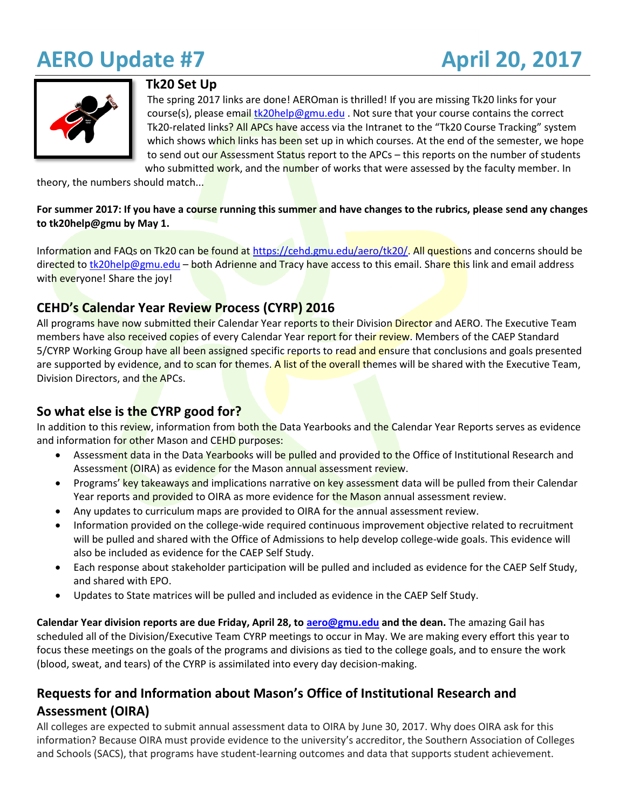# **AERO Update #7 April 20, 2017**



#### **Tk20 Set Up**

The spring 2017 links are done! AEROman is thrilled! If you are missing Tk20 links for your course(s), please emai[l tk20help@gmu.edu](mailto:tk20help@gmu.edu) . Not sure that your course contains the correct Tk20-related links? All APCs have access via the Intranet to the "Tk20 Course Tracking" system which shows which links has been set up in which courses. At the end of the semester, we hope to send out our Assessment Status report to the APCs – this reports on the number of students who submitted work, and the number of works that were assessed by the faculty member. In

theory, the numbers should match...

#### **For summer 2017: If you have a course running this summer and have changes to the rubrics, please send any changes to tk20help@gmu by May 1.**

Information and FAQs on Tk20 can be found at [https://cehd.gmu.edu/aero/tk20/.](https://cehd.gmu.edu/aero/tk20/) All questions and concerns should be directed t[o tk20help@gmu.edu](mailto:tk20help@gmu.edu) – both Adrienne and Tracy have access to this email. Share this link and email address with everyone! Share the joy!

## **CEHD's Calendar Year Review Process (CYRP) 2016**

All programs have now submitted their Calendar Year reports to their Division Director and AERO. The Executive Team members have also received copies of every Calendar Year report for their review. Members of the CAEP Standard 5/CYRP Working Group have all been assigned specific reports to read and ensure that conclusions and goals presented are supported by evidence, and to scan for themes. A list of the overall themes will be shared with the Executive Team, Division Directors, and the APCs.

# **So what else is the CYRP good for?**

In addition to this review, information from both the Data Yearbooks and the Calendar Year Reports serves as evidence and information for other Mason and CEHD purposes:

- Assessment data in the Data Yearbooks will be pulled and provided to the Office of Institutional Research and Assessment (OIRA) as evidence for the Mason annual assessment review.
- Programs' key takeaways and implications narrative on key assessment data will be pulled from their Calendar Year reports and provided to OIRA as more evidence for the Mason annual assessment review.
- Any updates to curriculum maps are provided to OIRA for the annual assessment review.
- Information provided on the college-wide required continuous improvement objective related to recruitment will be pulled and shared with the Office of Admissions to help develop college-wide goals. This evidence will also be included as evidence for the CAEP Self Study.
- Each response about stakeholder participation will be pulled and included as evidence for the CAEP Self Study, and shared with EPO.
- Updates to State matrices will be pulled and included as evidence in the CAEP Self Study.

**Calendar Year division reports are due Friday, April 28, to [aero@gmu.edu](mailto:aero@gmu.edu) and the dean.** The amazing Gail has scheduled all of the Division/Executive Team CYRP meetings to occur in May. We are making every effort this year to focus these meetings on the goals of the programs and divisions as tied to the college goals, and to ensure the work (blood, sweat, and tears) of the CYRP is assimilated into every day decision-making.

# **Requests for and Information about Mason's Office of Institutional Research and Assessment (OIRA)**

All colleges are expected to submit annual assessment data to OIRA by June 30, 2017. Why does OIRA ask for this information? Because OIRA must provide evidence to the university's accreditor, the Southern Association of Colleges and Schools (SACS), that programs have student-learning outcomes and data that supports student achievement.